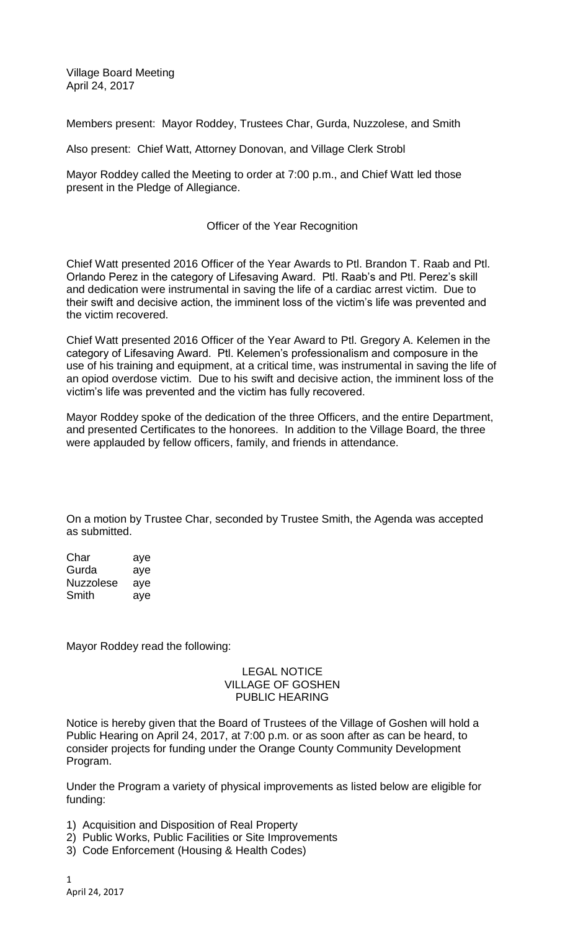Village Board Meeting April 24, 2017

Members present: Mayor Roddey, Trustees Char, Gurda, Nuzzolese, and Smith

Also present: Chief Watt, Attorney Donovan, and Village Clerk Strobl

Mayor Roddey called the Meeting to order at 7:00 p.m., and Chief Watt led those present in the Pledge of Allegiance.

# Officer of the Year Recognition

Chief Watt presented 2016 Officer of the Year Awards to Ptl. Brandon T. Raab and Ptl. Orlando Perez in the category of Lifesaving Award. Ptl. Raab's and Ptl. Perez's skill and dedication were instrumental in saving the life of a cardiac arrest victim. Due to their swift and decisive action, the imminent loss of the victim's life was prevented and the victim recovered.

Chief Watt presented 2016 Officer of the Year Award to Ptl. Gregory A. Kelemen in the category of Lifesaving Award. Ptl. Kelemen's professionalism and composure in the use of his training and equipment, at a critical time, was instrumental in saving the life of an opiod overdose victim. Due to his swift and decisive action, the imminent loss of the victim's life was prevented and the victim has fully recovered.

Mayor Roddey spoke of the dedication of the three Officers, and the entire Department, and presented Certificates to the honorees. In addition to the Village Board, the three were applauded by fellow officers, family, and friends in attendance.

On a motion by Trustee Char, seconded by Trustee Smith, the Agenda was accepted as submitted.

Char aye Gurda aye Nuzzolese aye Smith aye

Mayor Roddey read the following:

### LEGAL NOTICE VILLAGE OF GOSHEN PUBLIC HEARING

Notice is hereby given that the Board of Trustees of the Village of Goshen will hold a Public Hearing on April 24, 2017, at 7:00 p.m. or as soon after as can be heard, to consider projects for funding under the Orange County Community Development Program.

Under the Program a variety of physical improvements as listed below are eligible for funding:

- 1) Acquisition and Disposition of Real Property
- 2) Public Works, Public Facilities or Site Improvements
- 3) Code Enforcement (Housing & Health Codes)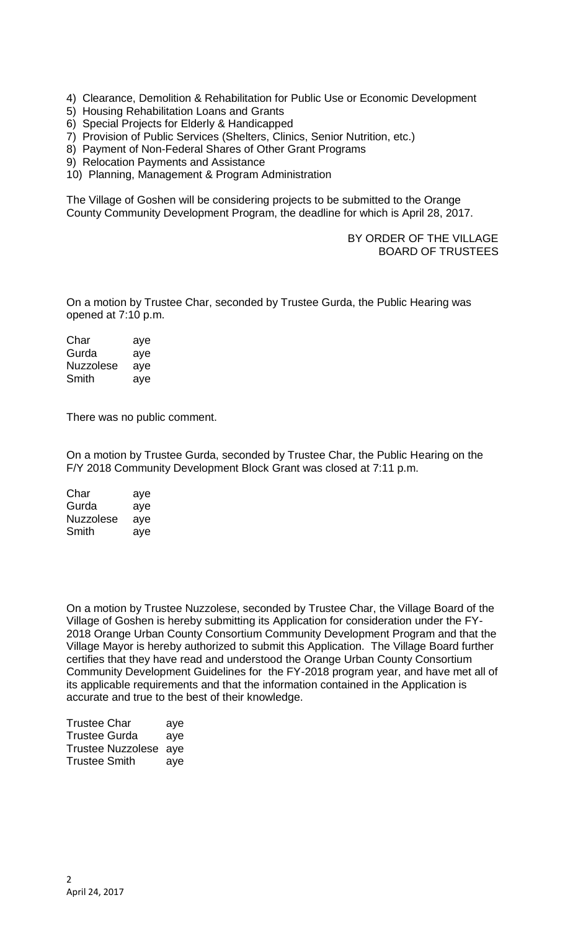- 4) Clearance, Demolition & Rehabilitation for Public Use or Economic Development
- 5) Housing Rehabilitation Loans and Grants
- 6) Special Projects for Elderly & Handicapped
- 7) Provision of Public Services (Shelters, Clinics, Senior Nutrition, etc.)
- 8) Payment of Non-Federal Shares of Other Grant Programs
- 9) Relocation Payments and Assistance
- 10) Planning, Management & Program Administration

The Village of Goshen will be considering projects to be submitted to the Orange County Community Development Program, the deadline for which is April 28, 2017.

## BY ORDER OF THE VILLAGE BOARD OF TRUSTEES

On a motion by Trustee Char, seconded by Trustee Gurda, the Public Hearing was opened at 7:10 p.m.

Char aye Gurda aye Nuzzolese aye Smith aye

There was no public comment.

On a motion by Trustee Gurda, seconded by Trustee Char, the Public Hearing on the F/Y 2018 Community Development Block Grant was closed at 7:11 p.m.

Char aye Gurda aye Nuzzolese aye Smith aye

On a motion by Trustee Nuzzolese, seconded by Trustee Char, the Village Board of the Village of Goshen is hereby submitting its Application for consideration under the FY-2018 Orange Urban County Consortium Community Development Program and that the Village Mayor is hereby authorized to submit this Application. The Village Board further certifies that they have read and understood the Orange Urban County Consortium Community Development Guidelines for the FY-2018 program year, and have met all of its applicable requirements and that the information contained in the Application is accurate and true to the best of their knowledge.

| <b>Trustee Char</b>   | aye |
|-----------------------|-----|
| <b>Trustee Gurda</b>  | aye |
| Trustee Nuzzolese aye |     |
| <b>Trustee Smith</b>  | aye |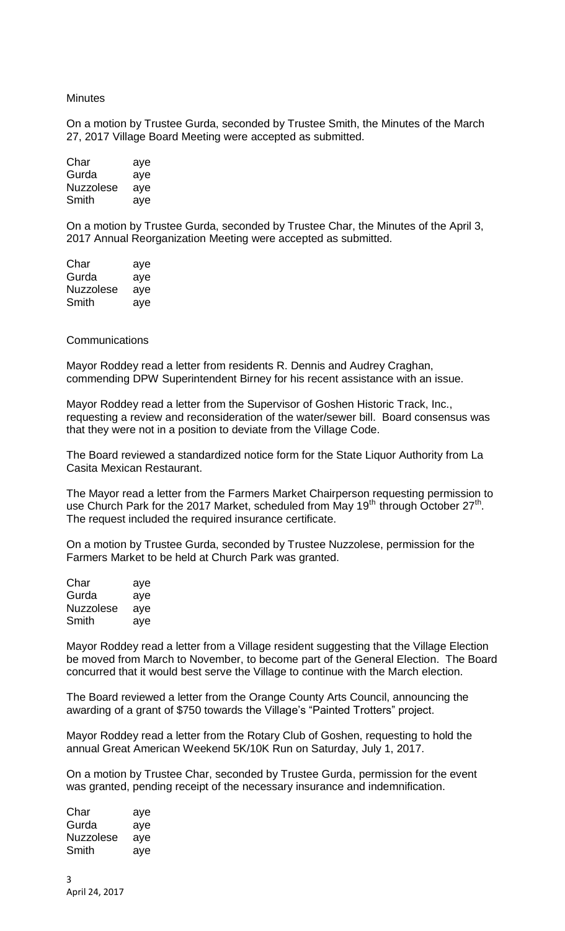#### **Minutes**

On a motion by Trustee Gurda, seconded by Trustee Smith, the Minutes of the March 27, 2017 Village Board Meeting were accepted as submitted.

| Char             | aye |
|------------------|-----|
| Gurda            | aye |
| <b>Nuzzolese</b> | aye |
| Smith            | aye |

On a motion by Trustee Gurda, seconded by Trustee Char, the Minutes of the April 3, 2017 Annual Reorganization Meeting were accepted as submitted.

| Char      | aye |
|-----------|-----|
| Gurda     | aye |
| Nuzzolese | aye |
| Smith     | aye |

### **Communications**

Mayor Roddey read a letter from residents R. Dennis and Audrey Craghan, commending DPW Superintendent Birney for his recent assistance with an issue.

Mayor Roddey read a letter from the Supervisor of Goshen Historic Track, Inc., requesting a review and reconsideration of the water/sewer bill. Board consensus was that they were not in a position to deviate from the Village Code.

The Board reviewed a standardized notice form for the State Liquor Authority from La Casita Mexican Restaurant.

The Mayor read a letter from the Farmers Market Chairperson requesting permission to use Church Park for the 2017 Market, scheduled from May 19<sup>th</sup> through October 27<sup>th</sup>. The request included the required insurance certificate.

On a motion by Trustee Gurda, seconded by Trustee Nuzzolese, permission for the Farmers Market to be held at Church Park was granted.

| Char             | aye |
|------------------|-----|
| Gurda            | aye |
| <b>Nuzzolese</b> | aye |
| Smith            | aye |

Mayor Roddey read a letter from a Village resident suggesting that the Village Election be moved from March to November, to become part of the General Election. The Board concurred that it would best serve the Village to continue with the March election.

The Board reviewed a letter from the Orange County Arts Council, announcing the awarding of a grant of \$750 towards the Village's "Painted Trotters" project.

Mayor Roddey read a letter from the Rotary Club of Goshen, requesting to hold the annual Great American Weekend 5K/10K Run on Saturday, July 1, 2017.

On a motion by Trustee Char, seconded by Trustee Gurda, permission for the event was granted, pending receipt of the necessary insurance and indemnification.

| Char      | aye |
|-----------|-----|
| Gurda     | aye |
| Nuzzolese | aye |
| Smith     | aye |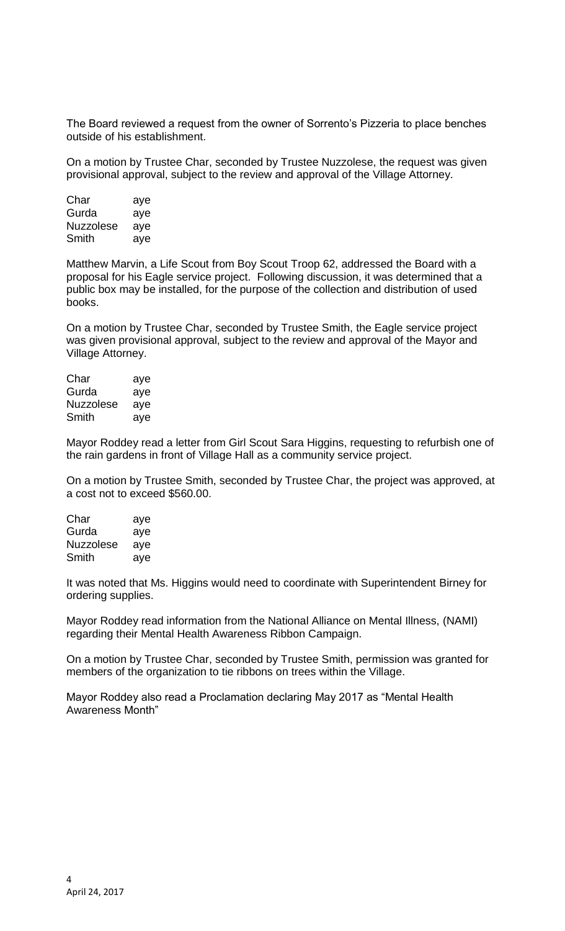The Board reviewed a request from the owner of Sorrento's Pizzeria to place benches outside of his establishment.

On a motion by Trustee Char, seconded by Trustee Nuzzolese, the request was given provisional approval, subject to the review and approval of the Village Attorney.

| Char             | aye |
|------------------|-----|
| Gurda            | aye |
| <b>Nuzzolese</b> | aye |
| Smith            | aye |

Matthew Marvin, a Life Scout from Boy Scout Troop 62, addressed the Board with a proposal for his Eagle service project. Following discussion, it was determined that a public box may be installed, for the purpose of the collection and distribution of used books.

On a motion by Trustee Char, seconded by Trustee Smith, the Eagle service project was given provisional approval, subject to the review and approval of the Mayor and Village Attorney.

| Char      | aye |
|-----------|-----|
| Gurda     | aye |
| Nuzzolese | aye |
| Smith     | aye |

Mayor Roddey read a letter from Girl Scout Sara Higgins, requesting to refurbish one of the rain gardens in front of Village Hall as a community service project.

On a motion by Trustee Smith, seconded by Trustee Char, the project was approved, at a cost not to exceed \$560.00.

| Char             | aye |
|------------------|-----|
| Gurda            | aye |
| <b>Nuzzolese</b> | aye |
| Smith            | aye |

It was noted that Ms. Higgins would need to coordinate with Superintendent Birney for ordering supplies.

Mayor Roddey read information from the National Alliance on Mental Illness, (NAMI) regarding their Mental Health Awareness Ribbon Campaign.

On a motion by Trustee Char, seconded by Trustee Smith, permission was granted for members of the organization to tie ribbons on trees within the Village.

Mayor Roddey also read a Proclamation declaring May 2017 as "Mental Health Awareness Month"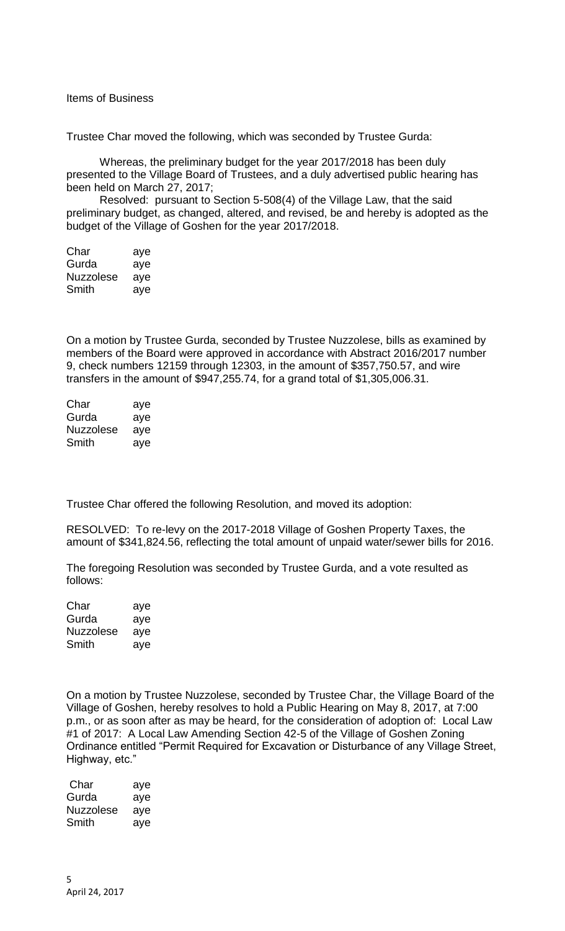Items of Business

Trustee Char moved the following, which was seconded by Trustee Gurda:

Whereas, the preliminary budget for the year 2017/2018 has been duly presented to the Village Board of Trustees, and a duly advertised public hearing has been held on March 27, 2017;

Resolved: pursuant to Section 5-508(4) of the Village Law, that the said preliminary budget, as changed, altered, and revised, be and hereby is adopted as the budget of the Village of Goshen for the year 2017/2018.

| Char             | aye |
|------------------|-----|
| Gurda            | aye |
| <b>Nuzzolese</b> | aye |
| Smith            | aye |

On a motion by Trustee Gurda, seconded by Trustee Nuzzolese, bills as examined by members of the Board were approved in accordance with Abstract 2016/2017 number 9, check numbers 12159 through 12303, in the amount of \$357,750.57, and wire transfers in the amount of \$947,255.74, for a grand total of \$1,305,006.31.

| Char      | aye |
|-----------|-----|
| Gurda     | aye |
| Nuzzolese | aye |
| Smith     | aye |

Trustee Char offered the following Resolution, and moved its adoption:

RESOLVED: To re-levy on the 2017-2018 Village of Goshen Property Taxes, the amount of \$341,824.56, reflecting the total amount of unpaid water/sewer bills for 2016.

The foregoing Resolution was seconded by Trustee Gurda, and a vote resulted as follows:

| Char             | aye |
|------------------|-----|
| Gurda            | aye |
| <b>Nuzzolese</b> | aye |
| Smith            | aye |

On a motion by Trustee Nuzzolese, seconded by Trustee Char, the Village Board of the Village of Goshen, hereby resolves to hold a Public Hearing on May 8, 2017, at 7:00 p.m., or as soon after as may be heard, for the consideration of adoption of: Local Law #1 of 2017: A Local Law Amending Section 42-5 of the Village of Goshen Zoning Ordinance entitled "Permit Required for Excavation or Disturbance of any Village Street, Highway, etc."

| Char      | aye |
|-----------|-----|
| Gurda     | aye |
| Nuzzolese | aye |
| Smith     | aye |